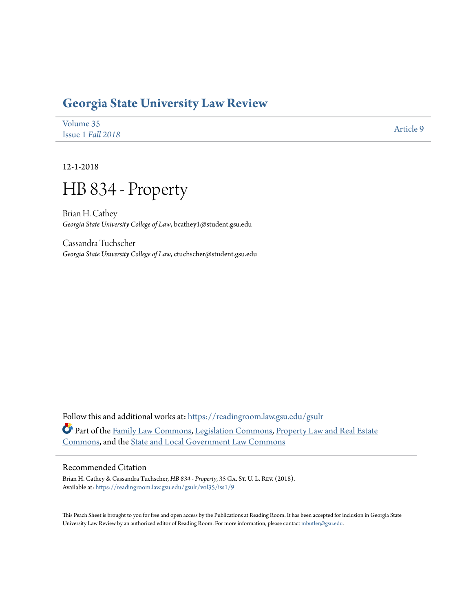# **[Georgia State University Law Review](https://readingroom.law.gsu.edu/gsulr?utm_source=readingroom.law.gsu.edu%2Fgsulr%2Fvol35%2Fiss1%2F9&utm_medium=PDF&utm_campaign=PDFCoverPages)**

| Volume 35         | <b>Article 9</b> |
|-------------------|------------------|
| Issue 1 Fall 2018 |                  |

12-1-2018

# HB 834 - Property

Brian H. Cathey *Georgia State University College of Law*, bcathey1@student.gsu.edu

Cassandra Tuchscher *Georgia State University College of Law*, ctuchscher@student.gsu.edu

Follow this and additional works at: [https://readingroom.law.gsu.edu/gsulr](https://readingroom.law.gsu.edu/gsulr?utm_source=readingroom.law.gsu.edu%2Fgsulr%2Fvol35%2Fiss1%2F9&utm_medium=PDF&utm_campaign=PDFCoverPages) Part of the [Family Law Commons,](http://network.bepress.com/hgg/discipline/602?utm_source=readingroom.law.gsu.edu%2Fgsulr%2Fvol35%2Fiss1%2F9&utm_medium=PDF&utm_campaign=PDFCoverPages) [Legislation Commons,](http://network.bepress.com/hgg/discipline/859?utm_source=readingroom.law.gsu.edu%2Fgsulr%2Fvol35%2Fiss1%2F9&utm_medium=PDF&utm_campaign=PDFCoverPages) [Property Law and Real Estate](http://network.bepress.com/hgg/discipline/897?utm_source=readingroom.law.gsu.edu%2Fgsulr%2Fvol35%2Fiss1%2F9&utm_medium=PDF&utm_campaign=PDFCoverPages) [Commons,](http://network.bepress.com/hgg/discipline/897?utm_source=readingroom.law.gsu.edu%2Fgsulr%2Fvol35%2Fiss1%2F9&utm_medium=PDF&utm_campaign=PDFCoverPages) and the [State and Local Government Law Commons](http://network.bepress.com/hgg/discipline/879?utm_source=readingroom.law.gsu.edu%2Fgsulr%2Fvol35%2Fiss1%2F9&utm_medium=PDF&utm_campaign=PDFCoverPages)

# Recommended Citation

Brian H. Cathey & Cassandra Tuchscher, *HB 834 - Property*, 35 GA. ST. U. L. REV. (2018). Available at: [https://readingroom.law.gsu.edu/gsulr/vol35/iss1/9](https://readingroom.law.gsu.edu/gsulr/vol35/iss1/9?utm_source=readingroom.law.gsu.edu%2Fgsulr%2Fvol35%2Fiss1%2F9&utm_medium=PDF&utm_campaign=PDFCoverPages)

This Peach Sheet is brought to you for free and open access by the Publications at Reading Room. It has been accepted for inclusion in Georgia State University Law Review by an authorized editor of Reading Room. For more information, please contact [mbutler@gsu.edu.](mailto:mbutler@gsu.edu)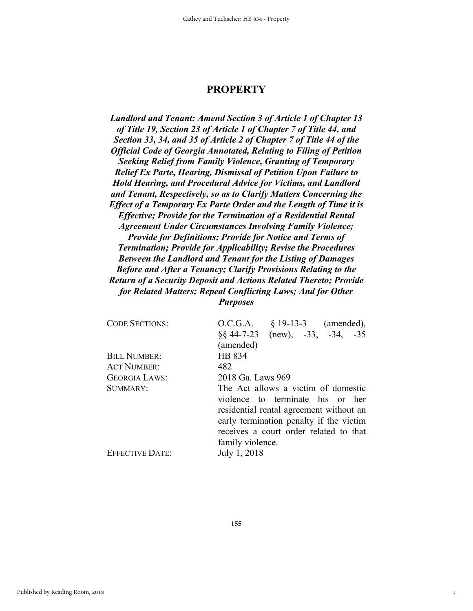# **PROPERTY**

*Landlord and Tenant: Amend Section 3 of Article 1 of Chapter 13 of Title 19, Section 23 of Article 1 of Chapter 7 of Title 44, and Section 33, 34, and 35 of Article 2 of Chapter 7 of Title 44 of the Official Code of Georgia Annotated, Relating to Filing of Petition Seeking Relief from Family Violence, Granting of Temporary Relief Ex Parte, Hearing, Dismissal of Petition Upon Failure to Hold Hearing, and Procedural Advice for Victims, and Landlord and Tenant, Respectively, so as to Clarify Matters Concerning the Effect of a Temporary Ex Parte Order and the Length of Time it is Effective; Provide for the Termination of a Residential Rental Agreement Under Circumstances Involving Family Violence; Provide for Definitions; Provide for Notice and Terms of Termination; Provide for Applicability; Revise the Procedures Between the Landlord and Tenant for the Listing of Damages Before and After a Tenancy; Clarify Provisions Relating to the Return of a Security Deposit and Actions Related Thereto; Provide for Related Matters; Repeal Conflicting Laws; And for Other Purposes* 

| <b>CODE SECTIONS:</b>  | $§ 19-13-3$ (amended),<br>O.C.G.A.      |
|------------------------|-----------------------------------------|
|                        | §§ 44-7-23<br>$(new), -33, -34, -35$    |
|                        | (amended)                               |
| <b>BILL NUMBER:</b>    | HB 834                                  |
| <b>ACT NUMBER:</b>     | 482                                     |
| <b>GEORGIA LAWS:</b>   | 2018 Ga. Laws 969                       |
| SUMMARY:               | The Act allows a victim of domestic     |
|                        | violence to terminate his or her        |
|                        | residential rental agreement without an |
|                        | early termination penalty if the victim |
|                        | receives a court order related to that  |
|                        | family violence.                        |
| <b>EFFECTIVE DATE:</b> | July 1, 2018                            |

1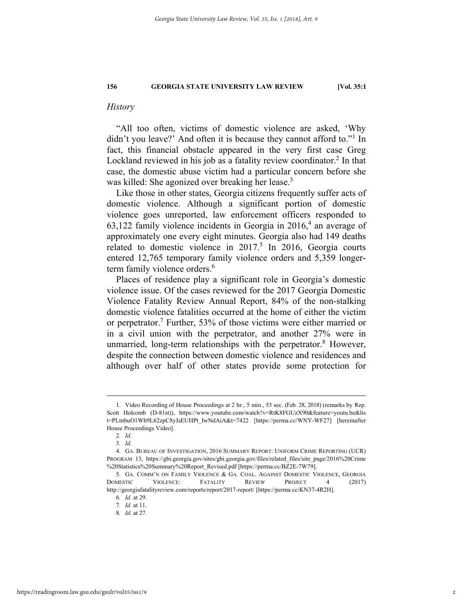# *History*

"All too often, victims of domestic violence are asked, 'Why didn't you leave?' And often it is because they cannot afford to."<sup>1</sup> In fact, this financial obstacle appeared in the very first case Greg Lockland reviewed in his job as a fatality review coordinator.<sup>2</sup> In that case, the domestic abuse victim had a particular concern before she was killed: She agonized over breaking her lease.<sup>3</sup>

Like those in other states, Georgia citizens frequently suffer acts of domestic violence. Although a significant portion of domestic violence goes unreported, law enforcement officers responded to  $63,122$  family violence incidents in Georgia in  $2016<sup>4</sup>$  an average of approximately one every eight minutes. Georgia also had 149 deaths related to domestic violence in  $2017<sup>5</sup>$  In 2016, Georgia courts entered 12,765 temporary family violence orders and 5,359 longerterm family violence orders.<sup>6</sup>

Places of residence play a significant role in Georgia's domestic violence issue. Of the cases reviewed for the 2017 Georgia Domestic Violence Fatality Review Annual Report, 84% of the non-stalking domestic violence fatalities occurred at the home of either the victim or perpetrator.<sup>7</sup> Further, 53% of those victims were either married or in a civil union with the perpetrator, and another 27% were in unmarried, long-term relationships with the perpetrator.<sup>8</sup> However, despite the connection between domestic violence and residences and although over half of other states provide some protection for

 <sup>1.</sup> Video Recording of House Proceedings at 2 hr., 5 min., 53 sec. (Feb. 28, 2018) (remarks by Rep. Scott Holcomb (D-81st)), https://www.youtube.com/watch?v=RtK8FGUzX90&feature=youtu.be&lis t=PLtnbuO1Wh9L62zpC8yJsEUHPt\_IwNdAiA&t=7422 [https://perma.cc/WNY-WF27] [hereinafter House Proceedings Video].

<sup>2</sup>*. Id.*

<sup>3</sup>*. Id.*

 <sup>4.</sup> GA. BUREAU OF INVESTIGATION, 2016 SUMMARY REPORT: UNIFORM CRIME REPORTING (UCR) PROGRAM 13, https://gbi.georgia.gov/sites/gbi.georgia.gov/files/related\_files/site\_page/2016%20Crime %20Statistics%20Summary%20Report\_Revised.pdf [https://perma.cc/BZ2E-7W79].

 <sup>5.</sup> GA. COMM'N ON FAMILY VIOLENCE & GA. COAL. AGAINST DOMESTIC VIOLENCE, GEORGIA DOMESTIC VIOLENCE: FATALITY REVIEW PROJECT 4 (2017) http://georgiafatalityreview.com/reports/report/2017-report/ [https://perma.cc/KN37-4R2H].

<sup>6</sup>*. Id.* at 29.

<sup>7</sup>*. Id.* at 11.

<sup>8</sup>*. Id.* at 27.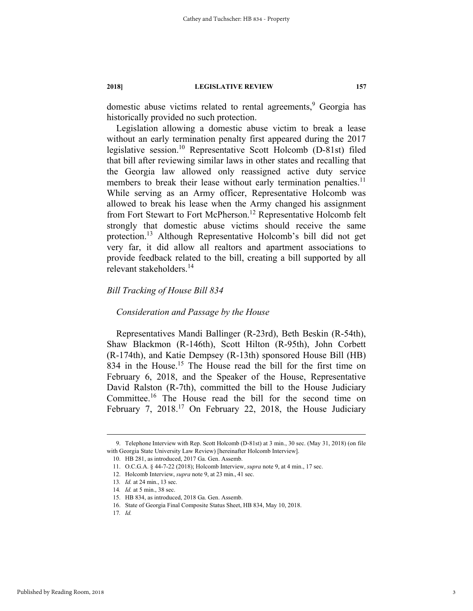domestic abuse victims related to rental agreements,<sup>9</sup> Georgia has historically provided no such protection.

Legislation allowing a domestic abuse victim to break a lease without an early termination penalty first appeared during the 2017 legislative session.10 Representative Scott Holcomb (D-81st) filed that bill after reviewing similar laws in other states and recalling that the Georgia law allowed only reassigned active duty service members to break their lease without early termination penalties.<sup>11</sup> While serving as an Army officer, Representative Holcomb was allowed to break his lease when the Army changed his assignment from Fort Stewart to Fort McPherson.<sup>12</sup> Representative Holcomb felt strongly that domestic abuse victims should receive the same protection.13 Although Representative Holcomb's bill did not get very far, it did allow all realtors and apartment associations to provide feedback related to the bill, creating a bill supported by all relevant stakeholders.14

# *Bill Tracking of House Bill 834*

# *Consideration and Passage by the House*

Representatives Mandi Ballinger (R-23rd), Beth Beskin (R-54th), Shaw Blackmon (R-146th), Scott Hilton (R-95th), John Corbett (R-174th), and Katie Dempsey (R-13th) sponsored House Bill (HB) 834 in the House.<sup>15</sup> The House read the bill for the first time on February 6, 2018, and the Speaker of the House, Representative David Ralston (R-7th), committed the bill to the House Judiciary Committee.16 The House read the bill for the second time on February 7, 2018.<sup>17</sup> On February 22, 2018, the House Judiciary

 <sup>9.</sup> Telephone Interview with Rep. Scott Holcomb (D-81st) at 3 min., 30 sec. (May 31, 2018) (on file with Georgia State University Law Review) [hereinafter Holcomb Interview].

 <sup>10.</sup> HB 281, as introduced, 2017 Ga. Gen. Assemb.

 <sup>11.</sup> O.C.G.A. § 44-7-22 (2018); Holcomb Interview, *supra* note 9, at 4 min., 17 sec.

 <sup>12.</sup> Holcomb Interview, *supra* note 9, at 23 min., 41 sec.

<sup>13</sup>*. Id.* at 24 min., 13 sec.

<sup>14</sup>*. Id.* at 5 min., 38 sec.

 <sup>15.</sup> HB 834, as introduced, 2018 Ga. Gen. Assemb.

 <sup>16.</sup> State of Georgia Final Composite Status Sheet, HB 834, May 10, 2018.

<sup>17</sup>*. Id.*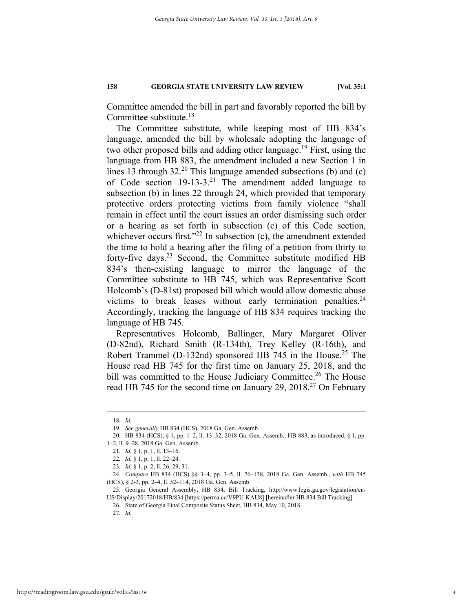Committee amended the bill in part and favorably reported the bill by Committee substitute.18

The Committee substitute, while keeping most of HB 834's language, amended the bill by wholesale adopting the language of two other proposed bills and adding other language.<sup>19</sup> First, using the language from HB 883, the amendment included a new Section 1 in lines 13 through  $32.^{20}$  This language amended subsections (b) and (c) of Code section 19-13-3.21 The amendment added language to subsection (b) in lines 22 through 24, which provided that temporary protective orders protecting victims from family violence "shall remain in effect until the court issues an order dismissing such order or a hearing as set forth in subsection (c) of this Code section, whichever occurs first." $22$  In subsection (c), the amendment extended the time to hold a hearing after the filing of a petition from thirty to forty-five days.<sup>23</sup> Second, the Committee substitute modified HB 834's then-existing language to mirror the language of the Committee substitute to HB 745, which was Representative Scott Holcomb's (D-81st) proposed bill which would allow domestic abuse victims to break leases without early termination penalties. $24$ Accordingly, tracking the language of HB 834 requires tracking the language of HB 745.

Representatives Holcomb, Ballinger, Mary Margaret Oliver (D-82nd), Richard Smith (R-134th), Trey Kelley (R-16th), and Robert Trammel (D-132nd) sponsored HB 745 in the House.<sup>25</sup> The House read HB 745 for the first time on January 25, 2018, and the bill was committed to the House Judiciary Committee.<sup>26</sup> The House read HB 745 for the second time on January 29, 2018.<sup>27</sup> On February

 <sup>18</sup>*. Id.*

<sup>19</sup>*. See generally* HB 834 (HCS), 2018 Ga. Gen. Assemb.

 <sup>20.</sup> HB 834 (HCS), § 1, pp. 1–2, ll. 13–32, 2018 Ga. Gen. Assemb.; HB 883, as introduced, § 1, pp. 1–2, ll. 9–28, 2018 Ga. Gen. Assemb.

<sup>21</sup>*. Id.* § 1, p. 1, ll. 13–16.

<sup>22</sup>*. Id.* § 1, p. 1, ll. 22–24.

<sup>23</sup>*. Id.* § 1, p. 2, ll. 26, 29, 31.

<sup>24</sup>*. Compare* HB 834 (HCS) §§ 3–4, pp. 3–5, ll. 76–138, 2018 Ga. Gen. Assemb., *with* HB 745 (HCS), § 2-3, pp. 2–4, ll. 52–114, 2018 Ga. Gen. Assemb.

 <sup>25.</sup> Georgia General Assembly, HB 834, Bill Tracking, http://www.legis.ga.gov/legislation/en-US/Display/20172018/HB/834 [https://perma.cc/V9PU-KAU8] [hereinafter HB 834 Bill Tracking].

 <sup>26.</sup> State of Georgia Final Composite Status Sheet, HB 834, May 10, 2018.

<sup>27</sup>*. Id.*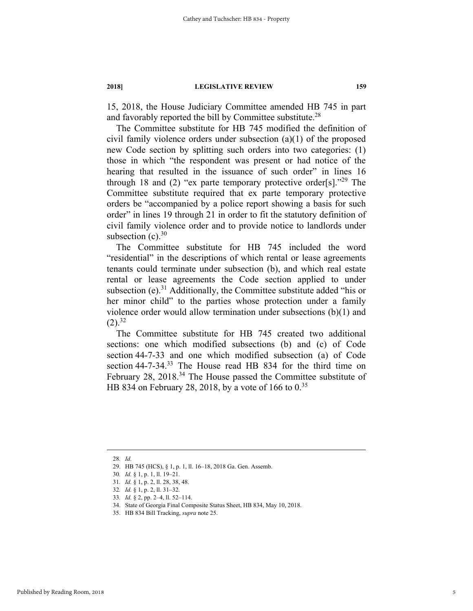15, 2018, the House Judiciary Committee amended HB 745 in part and favorably reported the bill by Committee substitute.<sup>28</sup>

The Committee substitute for HB 745 modified the definition of civil family violence orders under subsection (a)(1) of the proposed new Code section by splitting such orders into two categories: (1) those in which "the respondent was present or had notice of the hearing that resulted in the issuance of such order" in lines 16 through 18 and (2) "ex parte temporary protective order[s]."<sup>29</sup> The Committee substitute required that ex parte temporary protective orders be "accompanied by a police report showing a basis for such order" in lines 19 through 21 in order to fit the statutory definition of civil family violence order and to provide notice to landlords under subsection  $(c)$ .<sup>30</sup>

The Committee substitute for HB 745 included the word "residential" in the descriptions of which rental or lease agreements tenants could terminate under subsection (b), and which real estate rental or lease agreements the Code section applied to under subsection  $(e)$ .<sup>31</sup> Additionally, the Committee substitute added "his or her minor child" to the parties whose protection under a family violence order would allow termination under subsections (b)(1) and  $(2).^{32}$ 

The Committee substitute for HB 745 created two additional sections: one which modified subsections (b) and (c) of Code section 44-7-33 and one which modified subsection (a) of Code section 44-7-34.<sup>33</sup> The House read HB 834 for the third time on February 28, 2018.<sup>34</sup> The House passed the Committee substitute of HB 834 on February 28, 2018, by a vote of 166 to 0.<sup>35</sup>

 <sup>28</sup>*. Id.*

 <sup>29.</sup> HB 745 (HCS), § 1, p. 1, ll. 16–18, 2018 Ga. Gen. Assemb.

<sup>30</sup>*. Id.* § 1, p. 1, ll. 19–21.

<sup>31</sup>*. Id.* § 1, p. 2, ll. 28, 38, 48.

<sup>32</sup>*. Id.* § 1, p. 2, ll. 31–32.

<sup>33</sup>*. Id.* § 2, pp. 2–4, ll. 52–114.

 <sup>34.</sup> State of Georgia Final Composite Status Sheet, HB 834, May 10, 2018.

 <sup>35.</sup> HB 834 Bill Tracking, *supra* note 25.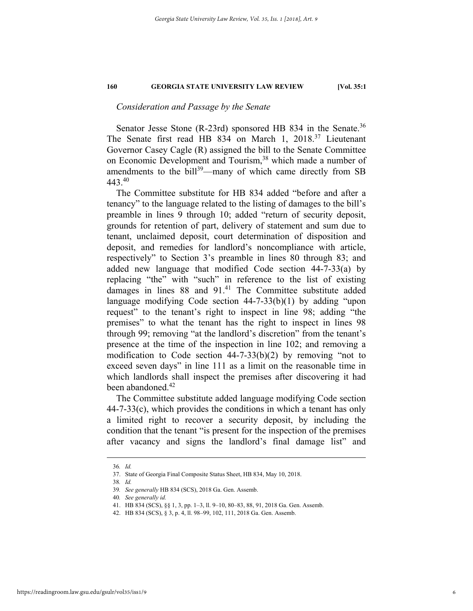# *Consideration and Passage by the Senate*

Senator Jesse Stone (R-23rd) sponsored HB 834 in the Senate.<sup>36</sup> The Senate first read HB 834 on March 1, 2018.<sup>37</sup> Lieutenant Governor Casey Cagle (R) assigned the bill to the Senate Committee on Economic Development and Tourism,<sup>38</sup> which made a number of amendments to the bill<sup>39</sup>—many of which came directly from SB 443.40

The Committee substitute for HB 834 added "before and after a tenancy" to the language related to the listing of damages to the bill's preamble in lines 9 through 10; added "return of security deposit, grounds for retention of part, delivery of statement and sum due to tenant, unclaimed deposit, court determination of disposition and deposit, and remedies for landlord's noncompliance with article, respectively" to Section 3's preamble in lines 80 through 83; and added new language that modified Code section 44-7-33(a) by replacing "the" with "such" in reference to the list of existing damages in lines 88 and 91.<sup>41</sup> The Committee substitute added language modifying Code section 44-7-33(b)(1) by adding "upon request" to the tenant's right to inspect in line 98; adding "the premises" to what the tenant has the right to inspect in lines 98 through 99; removing "at the landlord's discretion" from the tenant's presence at the time of the inspection in line 102; and removing a modification to Code section 44-7-33(b)(2) by removing "not to exceed seven days" in line 111 as a limit on the reasonable time in which landlords shall inspect the premises after discovering it had been abandoned.42

The Committee substitute added language modifying Code section 44-7-33(c), which provides the conditions in which a tenant has only a limited right to recover a security deposit, by including the condition that the tenant "is present for the inspection of the premises after vacancy and signs the landlord's final damage list" and

 <sup>36</sup>*. Id.*

 <sup>37.</sup> State of Georgia Final Composite Status Sheet, HB 834, May 10, 2018.

<sup>38</sup>*. Id.*

<sup>39</sup>*. See generally* HB 834 (SCS), 2018 Ga. Gen. Assemb.

<sup>40</sup>*. See generally id.*

 <sup>41.</sup> HB 834 (SCS), §§ 1, 3, pp. 1–3, ll. 9–10, 80–83, 88, 91, 2018 Ga. Gen. Assemb.

 <sup>42.</sup> HB 834 (SCS), § 3, p. 4, ll. 98–99, 102, 111, 2018 Ga. Gen. Assemb.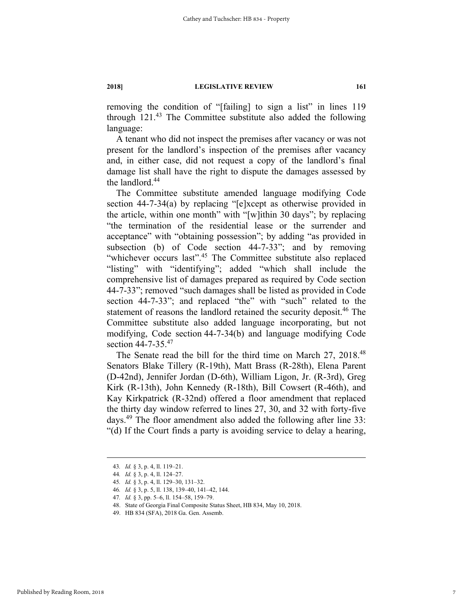removing the condition of "[failing] to sign a list" in lines 119 through 121.43 The Committee substitute also added the following language:

A tenant who did not inspect the premises after vacancy or was not present for the landlord's inspection of the premises after vacancy and, in either case, did not request a copy of the landlord's final damage list shall have the right to dispute the damages assessed by the landlord.<sup>44</sup>

The Committee substitute amended language modifying Code section 44-7-34(a) by replacing "[e]xcept as otherwise provided in the article, within one month" with "[w]ithin 30 days"; by replacing "the termination of the residential lease or the surrender and acceptance" with "obtaining possession"; by adding "as provided in subsection (b) of Code section 44-7-33"; and by removing "whichever occurs last".<sup>45</sup> The Committee substitute also replaced "listing" with "identifying"; added "which shall include the comprehensive list of damages prepared as required by Code section 44-7-33"; removed "such damages shall be listed as provided in Code section 44-7-33"; and replaced "the" with "such" related to the statement of reasons the landlord retained the security deposit.<sup>46</sup> The Committee substitute also added language incorporating, but not modifying, Code section 44-7-34(b) and language modifying Code section 44-7-35.<sup>47</sup>

The Senate read the bill for the third time on March 27, 2018.<sup>48</sup> Senators Blake Tillery (R-19th), Matt Brass (R-28th), Elena Parent (D-42nd), Jennifer Jordan (D-6th), William Ligon, Jr. (R-3rd), Greg Kirk (R-13th), John Kennedy (R-18th), Bill Cowsert (R-46th), and Kay Kirkpatrick (R-32nd) offered a floor amendment that replaced the thirty day window referred to lines 27, 30, and 32 with forty-five days.49 The floor amendment also added the following after line 33: "(d) If the Court finds a party is avoiding service to delay a hearing,

 <sup>43</sup>*. Id.* § 3, p. 4, ll. 119–21.

<sup>44</sup>*. Id.* § 3, p. 4, ll. 124–27.

<sup>45</sup>*. Id.* § 3, p. 4, ll. 129–30, 131–32.

<sup>46</sup>*. Id.* § 3, p. 5, ll. 138, 139–40, 141–42, 144.

<sup>47</sup>*. Id.* § 3, pp. 5–6, ll. 154–58, 159–79.

 <sup>48.</sup> State of Georgia Final Composite Status Sheet, HB 834, May 10, 2018.

 <sup>49.</sup> HB 834 (SFA), 2018 Ga. Gen. Assemb.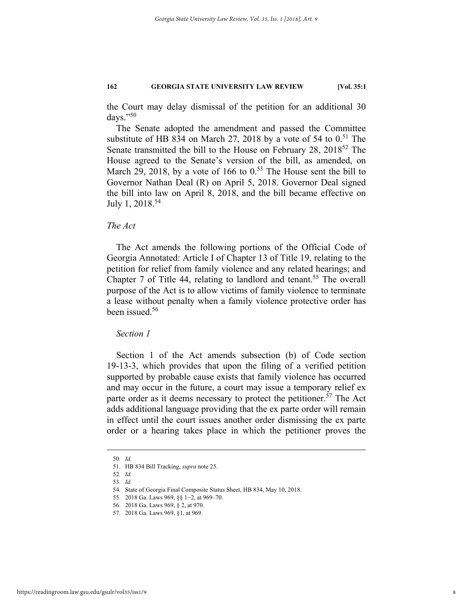the Court may delay dismissal of the petition for an additional 30 days." $50$ 

The Senate adopted the amendment and passed the Committee substitute of HB 834 on March 27, 2018 by a vote of 54 to  $0.51$  The Senate transmitted the bill to the House on February 28, 2018<sup>52</sup> The House agreed to the Senate's version of the bill, as amended, on March 29, 2018, by a vote of 166 to  $0.53$  The House sent the bill to Governor Nathan Deal (R) on April 5, 2018. Governor Deal signed the bill into law on April 8, 2018, and the bill became effective on July 1, 2018.<sup>54</sup>

# *The Act*

The Act amends the following portions of the Official Code of Georgia Annotated: Article I of Chapter 13 of Title 19, relating to the petition for relief from family violence and any related hearings; and Chapter 7 of Title 44, relating to landlord and tenant.<sup>55</sup> The overall purpose of the Act is to allow victims of family violence to terminate a lease without penalty when a family violence protective order has been issued.56

#### *Section 1*

Section 1 of the Act amends subsection (b) of Code section 19-13-3, which provides that upon the filing of a verified petition supported by probable cause exists that family violence has occurred and may occur in the future, a court may issue a temporary relief ex parte order as it deems necessary to protect the petitioner.<sup>57</sup> The Act adds additional language providing that the ex parte order will remain in effect until the court issues another order dismissing the ex parte order or a hearing takes place in which the petitioner proves the

 <sup>50</sup>*. Id.*

 <sup>51.</sup> HB 834 Bill Tracking, *supra* note 25.

<sup>52</sup>*. Id.*

<sup>53</sup>*. Id.*

 <sup>54.</sup> State of Georgia Final Composite Status Sheet, HB 834, May 10, 2018.

 <sup>55. 2018</sup> Ga. Laws 969, §§ 1−2, at 969–70.

 <sup>56. 2018</sup> Ga. Laws 969, § 2, at 970.

 <sup>57. 2018</sup> Ga. Laws 969, §1, at 969.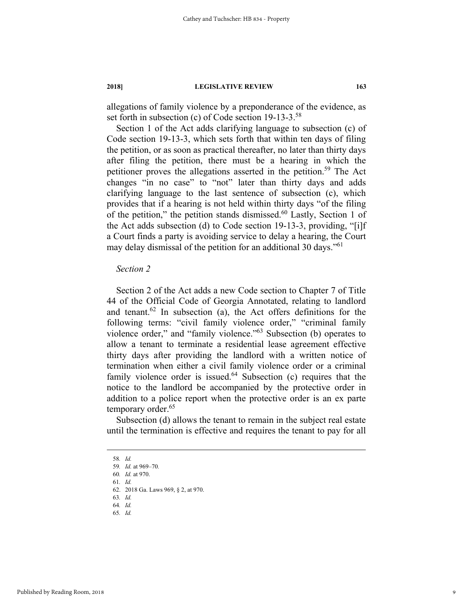allegations of family violence by a preponderance of the evidence, as set forth in subsection (c) of Code section 19-13-3.<sup>58</sup>

Section 1 of the Act adds clarifying language to subsection (c) of Code section 19-13-3, which sets forth that within ten days of filing the petition, or as soon as practical thereafter, no later than thirty days after filing the petition, there must be a hearing in which the petitioner proves the allegations asserted in the petition.<sup>59</sup> The Act changes "in no case" to "not" later than thirty days and adds clarifying language to the last sentence of subsection (c), which provides that if a hearing is not held within thirty days "of the filing of the petition," the petition stands dismissed.<sup>60</sup> Lastly, Section 1 of the Act adds subsection (d) to Code section 19-13-3, providing, "[i]f a Court finds a party is avoiding service to delay a hearing, the Court may delay dismissal of the petition for an additional 30 days."<sup>61</sup>

# *Section 2*

Section 2 of the Act adds a new Code section to Chapter 7 of Title 44 of the Official Code of Georgia Annotated, relating to landlord and tenant. $62$  In subsection (a), the Act offers definitions for the following terms: "civil family violence order," "criminal family violence order," and "family violence."63 Subsection (b) operates to allow a tenant to terminate a residential lease agreement effective thirty days after providing the landlord with a written notice of termination when either a civil family violence order or a criminal family violence order is issued. $64$  Subsection (c) requires that the notice to the landlord be accompanied by the protective order in addition to a police report when the protective order is an ex parte temporary order.<sup>65</sup>

Subsection (d) allows the tenant to remain in the subject real estate until the termination is effective and requires the tenant to pay for all

62. 2018 Ga. Laws 969, § 2, at 970.

 <sup>58</sup>*. Id.*

<sup>59</sup>*. Id.* at 969–70*.*

<sup>60</sup>*. Id.* at 970. 61*. Id.*

<sup>63</sup>*. Id.*

<sup>64</sup>*. Id.*

<sup>65</sup>*. Id.*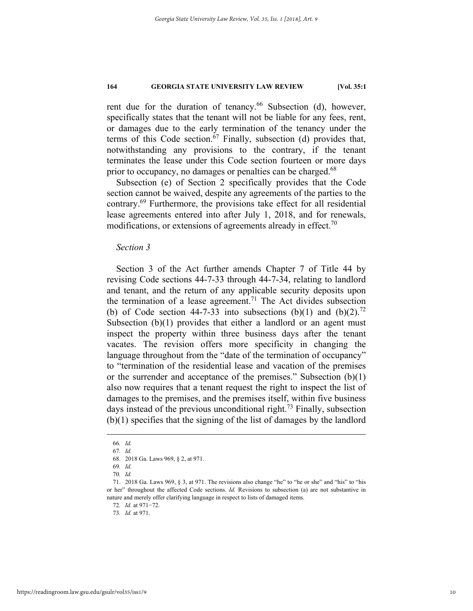rent due for the duration of tenancy.<sup>66</sup> Subsection (d), however, specifically states that the tenant will not be liable for any fees, rent, or damages due to the early termination of the tenancy under the terms of this Code section.<sup>67</sup> Finally, subsection (d) provides that, notwithstanding any provisions to the contrary, if the tenant terminates the lease under this Code section fourteen or more days prior to occupancy, no damages or penalties can be charged.<sup>68</sup>

Subsection (e) of Section 2 specifically provides that the Code section cannot be waived, despite any agreements of the parties to the contrary.69 Furthermore, the provisions take effect for all residential lease agreements entered into after July 1, 2018, and for renewals, modifications, or extensions of agreements already in effect.<sup>70</sup>

# *Section 3*

Section 3 of the Act further amends Chapter 7 of Title 44 by revising Code sections 44-7-33 through 44-7-34, relating to landlord and tenant, and the return of any applicable security deposits upon the termination of a lease agreement.<sup>71</sup> The Act divides subsection (b) of Code section 44-7-33 into subsections (b)(1) and (b)(2).<sup>72</sup> Subsection  $(b)(1)$  provides that either a landlord or an agent must inspect the property within three business days after the tenant vacates. The revision offers more specificity in changing the language throughout from the "date of the termination of occupancy" to "termination of the residential lease and vacation of the premises or the surrender and acceptance of the premises." Subsection (b)(1) also now requires that a tenant request the right to inspect the list of damages to the premises, and the premises itself, within five business days instead of the previous unconditional right.<sup>73</sup> Finally, subsection (b)(1) specifies that the signing of the list of damages by the landlord

 <sup>66</sup>*. Id.*

<sup>67</sup>*. Id.*

 <sup>68. 2018</sup> Ga. Laws 969, § 2, at 971.

<sup>69</sup>*. Id.*

<sup>70</sup>*. Id.*

 <sup>71. 2018</sup> Ga. Laws 969, § 3, at 971. The revisions also change "he" to "he or she" and "his" to "his or her" throughout the affected Code sections. *Id.* Revisions to subsection (a) are not substantive in nature and merely offer clarifying language in respect to lists of damaged items.

<sup>72</sup>*. Id.* at 971−72.

<sup>73</sup>*. Id.* at 971.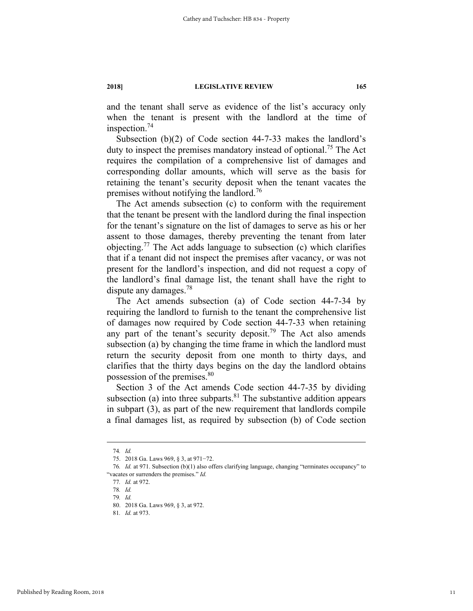and the tenant shall serve as evidence of the list's accuracy only when the tenant is present with the landlord at the time of inspection.74

Subsection (b)(2) of Code section 44-7-33 makes the landlord's duty to inspect the premises mandatory instead of optional.<sup>75</sup> The Act requires the compilation of a comprehensive list of damages and corresponding dollar amounts, which will serve as the basis for retaining the tenant's security deposit when the tenant vacates the premises without notifying the landlord.<sup>76</sup>

The Act amends subsection (c) to conform with the requirement that the tenant be present with the landlord during the final inspection for the tenant's signature on the list of damages to serve as his or her assent to those damages, thereby preventing the tenant from later objecting.<sup>77</sup> The Act adds language to subsection (c) which clarifies that if a tenant did not inspect the premises after vacancy, or was not present for the landlord's inspection, and did not request a copy of the landlord's final damage list, the tenant shall have the right to dispute any damages.<sup>78</sup>

The Act amends subsection (a) of Code section 44-7-34 by requiring the landlord to furnish to the tenant the comprehensive list of damages now required by Code section 44-7-33 when retaining any part of the tenant's security deposit.<sup>79</sup> The Act also amends subsection (a) by changing the time frame in which the landlord must return the security deposit from one month to thirty days, and clarifies that the thirty days begins on the day the landlord obtains possession of the premises.80

Section 3 of the Act amends Code section 44-7-35 by dividing subsection (a) into three subparts. $81$  The substantive addition appears in subpart (3), as part of the new requirement that landlords compile a final damages list, as required by subsection (b) of Code section

 <sup>74</sup>*. Id.*

 <sup>75. 2018</sup> Ga. Laws 969, § 3, at 971−72.

<sup>76</sup>*. Id.* at 971. Subsection (b)(1) also offers clarifying language, changing "terminates occupancy" to "vacates or surrenders the premises." *Id.*

<sup>77</sup>*. Id.* at 972.

<sup>78</sup>*. Id.*

<sup>79</sup>*. Id.*

 <sup>80. 2018</sup> Ga. Laws 969, § 3, at 972.

<sup>81</sup>*. Id.* at 973.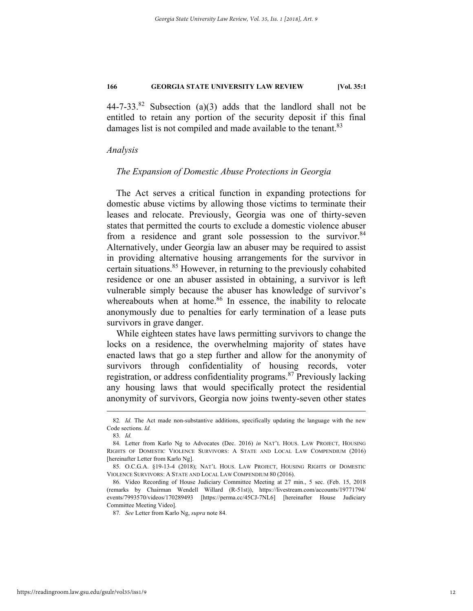44-7-33.<sup>82</sup> Subsection (a)(3) adds that the landlord shall not be entitled to retain any portion of the security deposit if this final damages list is not compiled and made available to the tenant.<sup>83</sup>

# *Analysis*

# *The Expansion of Domestic Abuse Protections in Georgia*

The Act serves a critical function in expanding protections for domestic abuse victims by allowing those victims to terminate their leases and relocate. Previously, Georgia was one of thirty-seven states that permitted the courts to exclude a domestic violence abuser from a residence and grant sole possession to the survivor.<sup>84</sup> Alternatively, under Georgia law an abuser may be required to assist in providing alternative housing arrangements for the survivor in certain situations.85 However, in returning to the previously cohabited residence or one an abuser assisted in obtaining, a survivor is left vulnerable simply because the abuser has knowledge of survivor's whereabouts when at home.<sup>86</sup> In essence, the inability to relocate anonymously due to penalties for early termination of a lease puts survivors in grave danger.

While eighteen states have laws permitting survivors to change the locks on a residence, the overwhelming majority of states have enacted laws that go a step further and allow for the anonymity of survivors through confidentiality of housing records, voter registration, or address confidentiality programs.87 Previously lacking any housing laws that would specifically protect the residential anonymity of survivors, Georgia now joins twenty-seven other states

 <sup>82</sup>*. Id.* The Act made non-substantive additions, specifically updating the language with the new Code sections. *Id.*

<sup>83</sup>*. Id.*

 <sup>84.</sup> Letter from Karlo Ng to Advocates (Dec. 2016) *in* NAT'L HOUS. LAW PROJECT, HOUSING RIGHTS OF DOMESTIC VIOLENCE SURVIVORS: A STATE AND LOCAL LAW COMPENDIUM (2016) [hereinafter Letter from Karlo Ng].

 <sup>85.</sup> O.C.G.A. §19-13-4 (2018); NAT'L HOUS. LAW PROJECT, HOUSING RIGHTS OF DOMESTIC VIOLENCE SURVIVORS: A STATE AND LOCAL LAW COMPENDIUM 80 (2016).

 <sup>86.</sup> Video Recording of House Judiciary Committee Meeting at 27 min., 5 sec. (Feb. 15, 2018 (remarks by Chairman Wendell Willard (R-51st)), https://livestream.com/accounts/19771794/ events/7993570/videos/170289493 [https://perma.cc/45CJ-7NL6] [hereinafter House Judiciary Committee Meeting Video].

<sup>87</sup>*. See* Letter from Karlo Ng, *supra* note 84.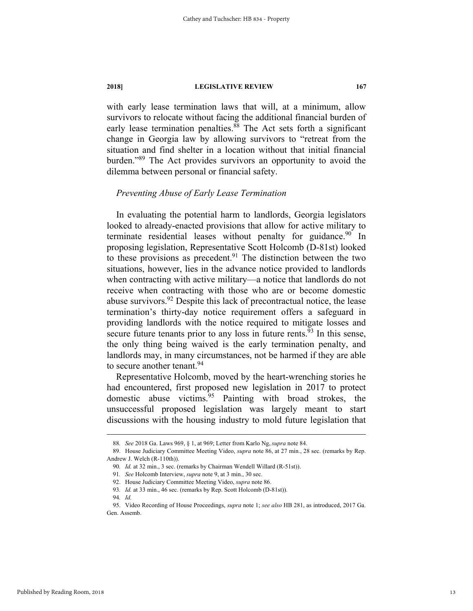with early lease termination laws that will, at a minimum, allow survivors to relocate without facing the additional financial burden of early lease termination penalties.<sup>88</sup> The Act sets forth a significant change in Georgia law by allowing survivors to "retreat from the situation and find shelter in a location without that initial financial burden."89 The Act provides survivors an opportunity to avoid the dilemma between personal or financial safety.

# *Preventing Abuse of Early Lease Termination*

In evaluating the potential harm to landlords, Georgia legislators looked to already-enacted provisions that allow for active military to terminate residential leases without penalty for guidance.<sup>90</sup> In proposing legislation, Representative Scott Holcomb (D-81st) looked to these provisions as precedent. $91$  The distinction between the two situations, however, lies in the advance notice provided to landlords when contracting with active military—a notice that landlords do not receive when contracting with those who are or become domestic abuse survivors. $92$  Despite this lack of precontractual notice, the lease termination's thirty-day notice requirement offers a safeguard in providing landlords with the notice required to mitigate losses and secure future tenants prior to any loss in future rents. $93$  In this sense, the only thing being waived is the early termination penalty, and landlords may, in many circumstances, not be harmed if they are able to secure another tenant.<sup>94</sup>

Representative Holcomb, moved by the heart-wrenching stories he had encountered, first proposed new legislation in 2017 to protect domestic abuse victims. $95$  Painting with broad strokes, the unsuccessful proposed legislation was largely meant to start discussions with the housing industry to mold future legislation that

 <sup>88</sup>*. See* 2018 Ga. Laws 969, § 1, at 969; Letter from Karlo Ng, *supra* note 84.

 <sup>89.</sup> House Judiciary Committee Meeting Video, *supra* note 86, at 27 min., 28 sec. (remarks by Rep. Andrew J. Welch (R-110th)).

<sup>90</sup>*. Id.* at 32 min., 3 sec. (remarks by Chairman Wendell Willard (R-51st)).

<sup>91</sup>*. See* Holcomb Interview, *supra* note 9, at 3 min., 30 sec.

 <sup>92.</sup> House Judiciary Committee Meeting Video, *supra* note 86.

<sup>93</sup>*. Id.* at 33 min., 46 sec. (remarks by Rep. Scott Holcomb (D-81st)).

<sup>94</sup>*. Id.*

 <sup>95.</sup> Video Recording of House Proceedings, *supra* note 1; *see also* HB 281, as introduced, 2017 Ga. Gen. Assemb.